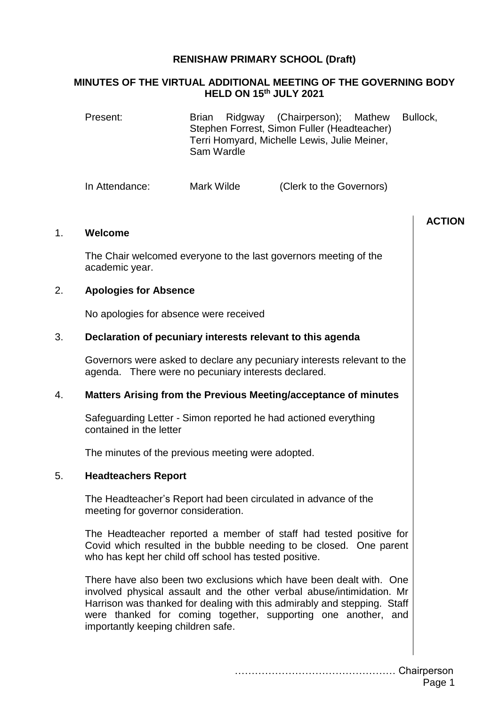# **RENISHAW PRIMARY SCHOOL (Draft)**

# **MINUTES OF THE VIRTUAL ADDITIONAL MEETING OF THE GOVERNING BODY HELD ON 15th JULY 2021**

| Present:       | Brian Ridgway (Chairperson); Mathew Bullock,<br>Stephen Forrest, Simon Fuller (Headteacher)<br>Terri Homyard, Michelle Lewis, Julie Meiner,<br>Sam Wardle |                          |  |
|----------------|-----------------------------------------------------------------------------------------------------------------------------------------------------------|--------------------------|--|
| In Attendance: | Mark Wilde                                                                                                                                                | (Clerk to the Governors) |  |

| 1. | Welcome                                                                                                                                                                                                                                                                                                                         | <b>ACTION</b> |
|----|---------------------------------------------------------------------------------------------------------------------------------------------------------------------------------------------------------------------------------------------------------------------------------------------------------------------------------|---------------|
|    | The Chair welcomed everyone to the last governors meeting of the<br>academic year.                                                                                                                                                                                                                                              |               |
| 2. | <b>Apologies for Absence</b>                                                                                                                                                                                                                                                                                                    |               |
|    | No apologies for absence were received                                                                                                                                                                                                                                                                                          |               |
| 3. | Declaration of pecuniary interests relevant to this agenda                                                                                                                                                                                                                                                                      |               |
|    | Governors were asked to declare any pecuniary interests relevant to the<br>agenda. There were no pecuniary interests declared.                                                                                                                                                                                                  |               |
| 4. | Matters Arising from the Previous Meeting/acceptance of minutes                                                                                                                                                                                                                                                                 |               |
|    | Safeguarding Letter - Simon reported he had actioned everything<br>contained in the letter                                                                                                                                                                                                                                      |               |
|    | The minutes of the previous meeting were adopted.                                                                                                                                                                                                                                                                               |               |
| 5. | <b>Headteachers Report</b>                                                                                                                                                                                                                                                                                                      |               |
|    | The Headteacher's Report had been circulated in advance of the<br>meeting for governor consideration.                                                                                                                                                                                                                           |               |
|    | The Headteacher reported a member of staff had tested positive for<br>Covid which resulted in the bubble needing to be closed. One parent<br>who has kept her child off school has tested positive.                                                                                                                             |               |
|    | There have also been two exclusions which have been dealt with. One<br>involved physical assault and the other verbal abuse/intimidation. Mr<br>Harrison was thanked for dealing with this admirably and stepping. Staff<br>were thanked for coming together, supporting one another, and<br>importantly keeping children safe. |               |
|    |                                                                                                                                                                                                                                                                                                                                 | Chairperson   |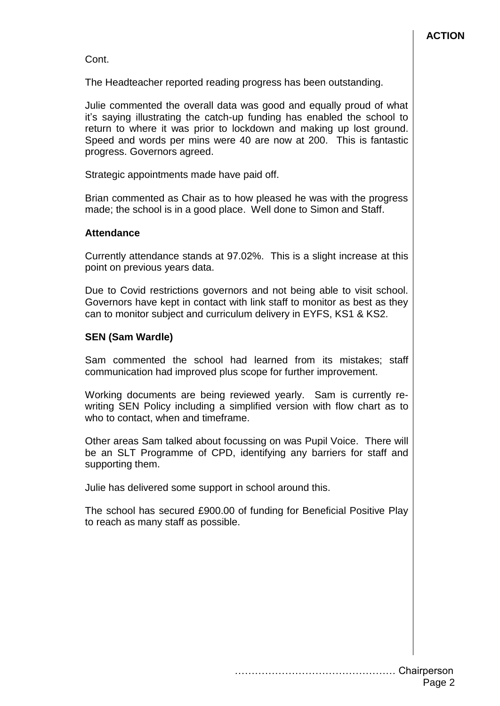Cont.

The Headteacher reported reading progress has been outstanding.

Julie commented the overall data was good and equally proud of what it's saying illustrating the catch-up funding has enabled the school to return to where it was prior to lockdown and making up lost ground. Speed and words per mins were 40 are now at 200. This is fantastic progress. Governors agreed.

Strategic appointments made have paid off.

Brian commented as Chair as to how pleased he was with the progress made; the school is in a good place. Well done to Simon and Staff.

## **Attendance**

Currently attendance stands at 97.02%. This is a slight increase at this point on previous years data.

Due to Covid restrictions governors and not being able to visit school. Governors have kept in contact with link staff to monitor as best as they can to monitor subject and curriculum delivery in EYFS, KS1 & KS2.

# **SEN (Sam Wardle)**

Sam commented the school had learned from its mistakes; staff communication had improved plus scope for further improvement.

Working documents are being reviewed yearly. Sam is currently rewriting SEN Policy including a simplified version with flow chart as to who to contact, when and timeframe.

Other areas Sam talked about focussing on was Pupil Voice. There will be an SLT Programme of CPD, identifying any barriers for staff and supporting them.

Julie has delivered some support in school around this.

The school has secured £900.00 of funding for Beneficial Positive Play to reach as many staff as possible.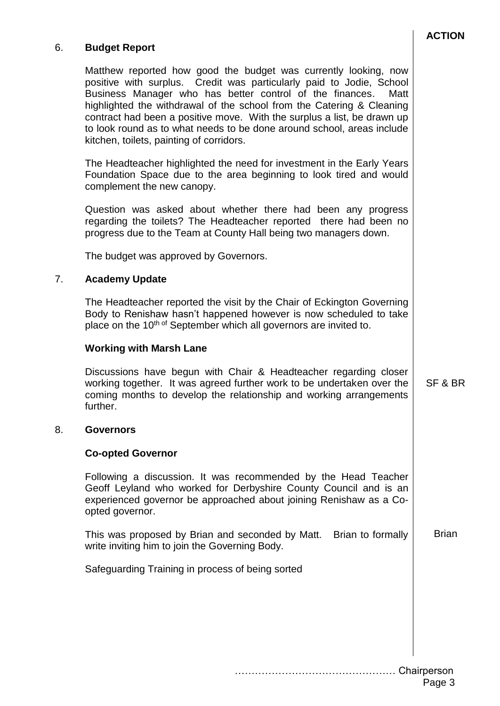# 6. **Budget Report**

Matthew reported how good the budget was currently looking, now positive with surplus. Credit was particularly paid to Jodie, School Business Manager who has better control of the finances. Matt highlighted the withdrawal of the school from the Catering & Cleaning contract had been a positive move. With the surplus a list, be drawn up to look round as to what needs to be done around school, areas include kitchen, toilets, painting of corridors.

The Headteacher highlighted the need for investment in the Early Years Foundation Space due to the area beginning to look tired and would complement the new canopy.

Question was asked about whether there had been any progress regarding the toilets? The Headteacher reported there had been no progress due to the Team at County Hall being two managers down.

The budget was approved by Governors.

## 7. **Academy Update**

The Headteacher reported the visit by the Chair of Eckington Governing Body to Renishaw hasn't happened however is now scheduled to take place on the 10<sup>th of</sup> September which all governors are invited to.

#### **Working with Marsh Lane**

Discussions have begun with Chair & Headteacher regarding closer working together. It was agreed further work to be undertaken over the coming months to develop the relationship and working arrangements further.

#### 8. **Governors**

#### **Co-opted Governor**

Following a discussion. It was recommended by the Head Teacher Geoff Leyland who worked for Derbyshire County Council and is an experienced governor be approached about joining Renishaw as a Coopted governor.

This was proposed by Brian and seconded by Matt. Brian to formally write inviting him to join the Governing Body. Brian

Safeguarding Training in process of being sorted

SF & BR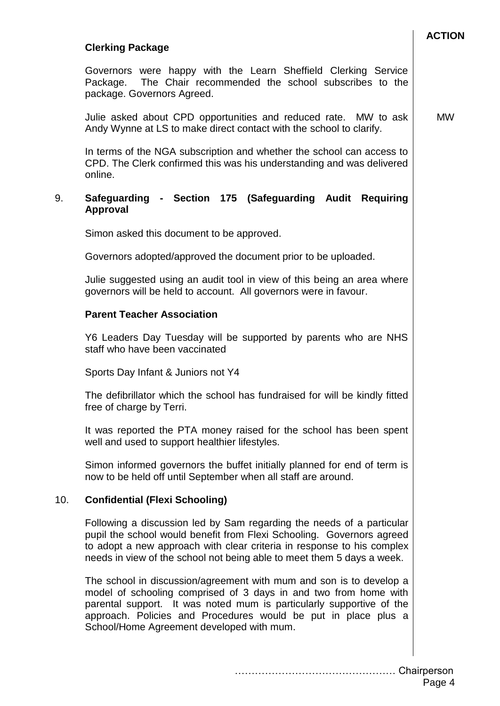#### **ACTION**

### **Clerking Package**

Governors were happy with the Learn Sheffield Clerking Service Package. The Chair recommended the school subscribes to the package. Governors Agreed.

Julie asked about CPD opportunities and reduced rate. MW to ask Andy Wynne at LS to make direct contact with the school to clarify. MW

In terms of the NGA subscription and whether the school can access to CPD. The Clerk confirmed this was his understanding and was delivered online.

### 9. **Safeguarding - Section 175 (Safeguarding Audit Requiring Approval**

Simon asked this document to be approved.

Governors adopted/approved the document prior to be uploaded.

Julie suggested using an audit tool in view of this being an area where governors will be held to account. All governors were in favour.

#### **Parent Teacher Association**

Y6 Leaders Day Tuesday will be supported by parents who are NHS staff who have been vaccinated

Sports Day Infant & Juniors not Y4

The defibrillator which the school has fundraised for will be kindly fitted free of charge by Terri.

It was reported the PTA money raised for the school has been spent well and used to support healthier lifestyles.

Simon informed governors the buffet initially planned for end of term is now to be held off until September when all staff are around.

#### 10. **Confidential (Flexi Schooling)**

Following a discussion led by Sam regarding the needs of a particular pupil the school would benefit from Flexi Schooling. Governors agreed to adopt a new approach with clear criteria in response to his complex needs in view of the school not being able to meet them 5 days a week.

The school in discussion/agreement with mum and son is to develop a model of schooling comprised of 3 days in and two from home with parental support. It was noted mum is particularly supportive of the approach. Policies and Procedures would be put in place plus a School/Home Agreement developed with mum.

………………………………………… Chairperson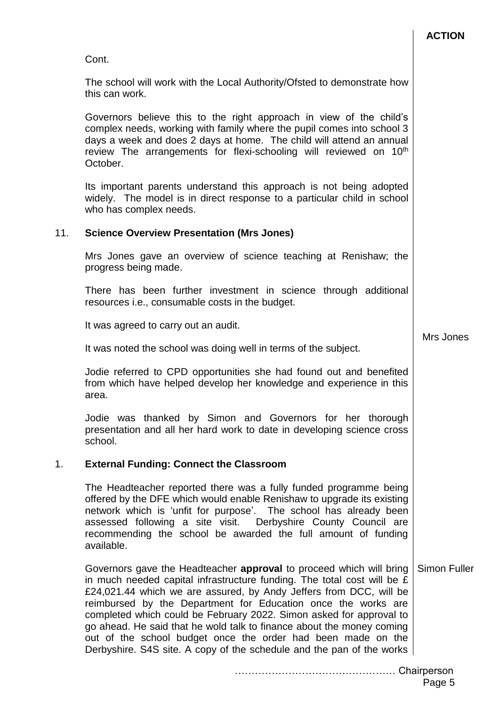|     | Cont.                                                                                                                                                                                                                                                                                                                                                                                                                                                                                                                                                                          |                     |
|-----|--------------------------------------------------------------------------------------------------------------------------------------------------------------------------------------------------------------------------------------------------------------------------------------------------------------------------------------------------------------------------------------------------------------------------------------------------------------------------------------------------------------------------------------------------------------------------------|---------------------|
|     | The school will work with the Local Authority/Ofsted to demonstrate how<br>this can work.                                                                                                                                                                                                                                                                                                                                                                                                                                                                                      |                     |
|     | Governors believe this to the right approach in view of the child's<br>complex needs, working with family where the pupil comes into school 3<br>days a week and does 2 days at home. The child will attend an annual<br>review The arrangements for flexi-schooling will reviewed on 10 <sup>th</sup><br>October.                                                                                                                                                                                                                                                             |                     |
|     | Its important parents understand this approach is not being adopted<br>widely. The model is in direct response to a particular child in school<br>who has complex needs.                                                                                                                                                                                                                                                                                                                                                                                                       |                     |
| 11. | <b>Science Overview Presentation (Mrs Jones)</b>                                                                                                                                                                                                                                                                                                                                                                                                                                                                                                                               |                     |
|     | Mrs Jones gave an overview of science teaching at Renishaw; the<br>progress being made.                                                                                                                                                                                                                                                                                                                                                                                                                                                                                        |                     |
|     | There has been further investment in science through additional<br>resources i.e., consumable costs in the budget.                                                                                                                                                                                                                                                                                                                                                                                                                                                             |                     |
|     | It was agreed to carry out an audit.                                                                                                                                                                                                                                                                                                                                                                                                                                                                                                                                           |                     |
|     | It was noted the school was doing well in terms of the subject.                                                                                                                                                                                                                                                                                                                                                                                                                                                                                                                | Mrs Jones           |
|     | Jodie referred to CPD opportunities she had found out and benefited<br>from which have helped develop her knowledge and experience in this<br>area.                                                                                                                                                                                                                                                                                                                                                                                                                            |                     |
|     | Jodie was thanked by Simon and Governors for her thorough<br>presentation and all her hard work to date in developing science cross<br>school.                                                                                                                                                                                                                                                                                                                                                                                                                                 |                     |
| 1.  | <b>External Funding: Connect the Classroom</b>                                                                                                                                                                                                                                                                                                                                                                                                                                                                                                                                 |                     |
|     | The Headteacher reported there was a fully funded programme being<br>offered by the DFE which would enable Renishaw to upgrade its existing<br>network which is 'unfit for purpose'. The school has already been<br>assessed following a site visit. Derbyshire County Council are<br>recommending the school be awarded the full amount of funding<br>available.                                                                                                                                                                                                              |                     |
|     | Governors gave the Headteacher approval to proceed which will bring<br>in much needed capital infrastructure funding. The total cost will be £<br>£24,021.44 which we are assured, by Andy Jeffers from DCC, will be<br>reimbursed by the Department for Education once the works are<br>completed which could be February 2022. Simon asked for approval to<br>go ahead. He said that he wold talk to finance about the money coming<br>out of the school budget once the order had been made on the<br>Derbyshire. S4S site. A copy of the schedule and the pan of the works | <b>Simon Fuller</b> |

………………………………………… Chairperson

**ACTION**